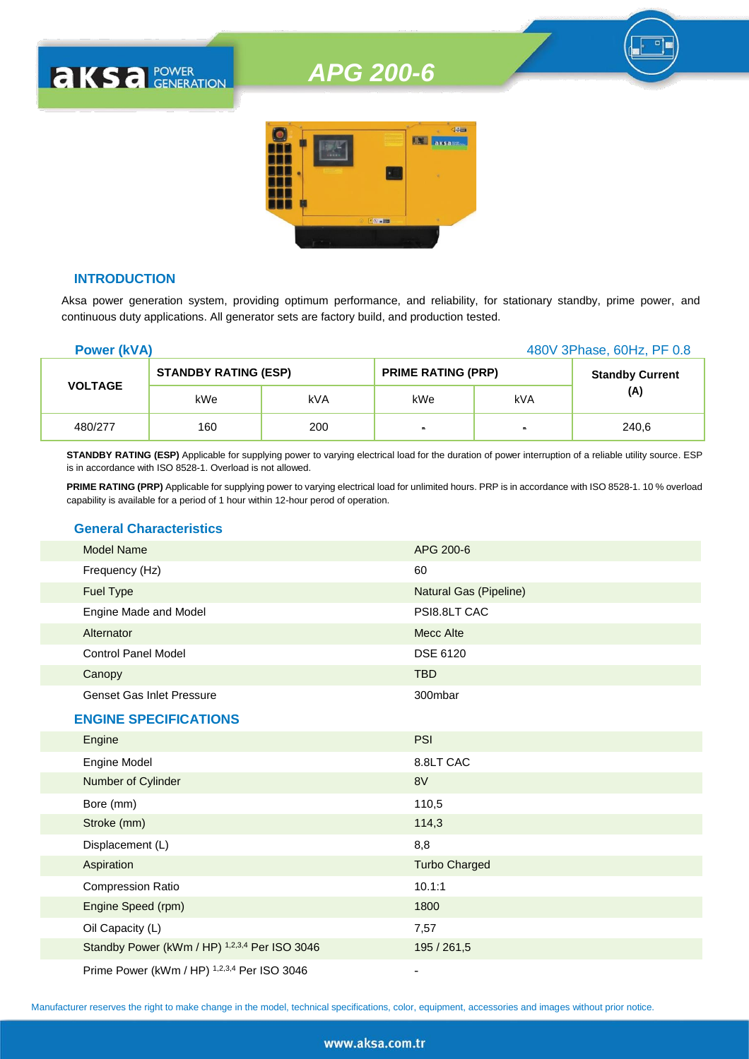### *APG 200-6*



#### **INTRODUCTION**

**AKSA POWER** 

Aksa power generation system, providing optimum performance, and reliability, for stationary standby, prime power, and continuous duty applications. All generator sets are factory build, and production tested.

| <b>Power (kVA)</b> |                             |     | 480V 3Phase, 60Hz, PF 0.8 |                |                        |
|--------------------|-----------------------------|-----|---------------------------|----------------|------------------------|
|                    | <b>STANDBY RATING (ESP)</b> |     | <b>PRIME RATING (PRP)</b> |                | <b>Standby Current</b> |
| <b>VOLTAGE</b>     | kWe                         | kVA | kWe                       | kVA            | (A)                    |
| 480/277            | 160                         | 200 | $\blacksquare$            | $\blacksquare$ | 240,6                  |

**STANDBY RATING (ESP)** Applicable for supplying power to varying electrical load for the duration of power interruption of a reliable utility source. ESP is in accordance with ISO 8528-1. Overload is not allowed.

**PRIME RATING (PRP)** Applicable for supplying power to varying electrical load for unlimited hours. PRP is in accordance with ISO 8528-1. 10 % overload capability is available for a period of 1 hour within 12-hour perod of operation.

#### **General Characteristics**

| <b>Model Name</b>                | APG 200-6              |
|----------------------------------|------------------------|
| Frequency (Hz)                   | 60                     |
| Fuel Type                        | Natural Gas (Pipeline) |
| Engine Made and Model            | PSI8.8LT CAC           |
| Alternator                       | Mecc Alte              |
| <b>Control Panel Model</b>       | <b>DSE 6120</b>        |
| Canopy                           | <b>TBD</b>             |
| <b>Genset Gas Inlet Pressure</b> | 300mbar                |
| <b>ENGINE SPECIFICATIONS</b>     |                        |
| Engine                           | <b>PSI</b>             |
|                                  |                        |

| Engine Model                                  | 8.8LT CAC            |
|-----------------------------------------------|----------------------|
| Number of Cylinder                            | 8V                   |
| Bore (mm)                                     | 110,5                |
| Stroke (mm)                                   | 114,3                |
| Displacement (L)                              | 8,8                  |
| Aspiration                                    | <b>Turbo Charged</b> |
| <b>Compression Ratio</b>                      | 10.1:1               |
| Engine Speed (rpm)                            | 1800                 |
| Oil Capacity (L)                              | 7,57                 |
| Standby Power (kWm / HP) 1,2,3,4 Per ISO 3046 | 195 / 261,5          |
| Prime Power (kWm / HP) 1,2,3,4 Per ISO 3046   |                      |

Manufacturer reserves the right to make change in the model, technical specifications, color, equipment, accessories and images without prior notice.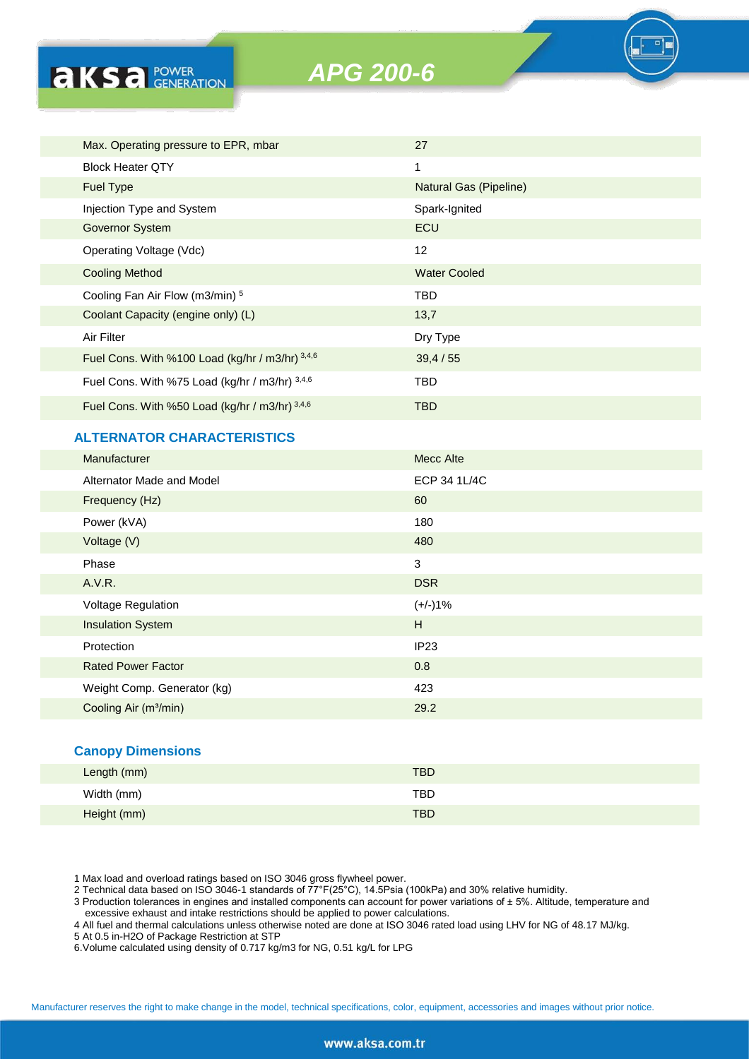

| Max. Operating pressure to EPR, mbar            | 27                            |
|-------------------------------------------------|-------------------------------|
| <b>Block Heater QTY</b>                         | 1                             |
| <b>Fuel Type</b>                                | <b>Natural Gas (Pipeline)</b> |
| Injection Type and System                       | Spark-Ignited                 |
| <b>Governor System</b>                          | <b>ECU</b>                    |
| Operating Voltage (Vdc)                         | $12 \overline{ }$             |
| <b>Cooling Method</b>                           | <b>Water Cooled</b>           |
| Cooling Fan Air Flow (m3/min) 5                 | TBD                           |
| Coolant Capacity (engine only) (L)              | 13,7                          |
| Air Filter                                      | Dry Type                      |
| Fuel Cons. With %100 Load (kg/hr / m3/hr) 3,4,6 | 39,4/55                       |
| Fuel Cons. With %75 Load (kg/hr / m3/hr) 3,4,6  | TBD                           |
| Fuel Cons. With %50 Load (kg/hr / m3/hr) 3,4,6  | TBD.                          |

#### **ALTERNATOR CHARACTERISTICS**

**AKSA POWER** 

| Manufacturer                      | Mecc Alte    |
|-----------------------------------|--------------|
| Alternator Made and Model         | ECP 34 1L/4C |
| Frequency (Hz)                    | 60           |
| Power (kVA)                       | 180          |
| Voltage (V)                       | 480          |
| Phase                             | 3            |
| A.V.R.                            | <b>DSR</b>   |
| <b>Voltage Regulation</b>         | $(+/-)1%$    |
| <b>Insulation System</b>          | H            |
| Protection                        | IP23         |
| <b>Rated Power Factor</b>         | 0.8          |
| Weight Comp. Generator (kg)       | 423          |
| Cooling Air (m <sup>3</sup> /min) | 29.2         |

#### **Canopy Dimensions**

| Length (mm) | <b>TBD</b> |  |
|-------------|------------|--|
| Width (mm)  | TBD        |  |
| Height (mm) | <b>TBD</b> |  |

1 Max load and overload ratings based on ISO 3046 gross flywheel power.

2 Technical data based on ISO 3046-1 standards of 77°F(25°C), 14.5Psia (100kPa) and 30% relative humidity.

3 Production tolerances in engines and installed components can account for power variations of ± 5%. Altitude, temperature and excessive exhaust and intake restrictions should be applied to power calculations.

4 All fuel and thermal calculations unless otherwise noted are done at ISO 3046 rated load using LHV for NG of 48.17 MJ/kg.

5 At 0.5 in-H2O of Package Restriction at STP

6.Volume calculated using density of 0.717 kg/m3 for NG, 0.51 kg/L for LPG

Manufacturer reserves the right to make change in the model, technical specifications, color, equipment, accessories and images without prior notice.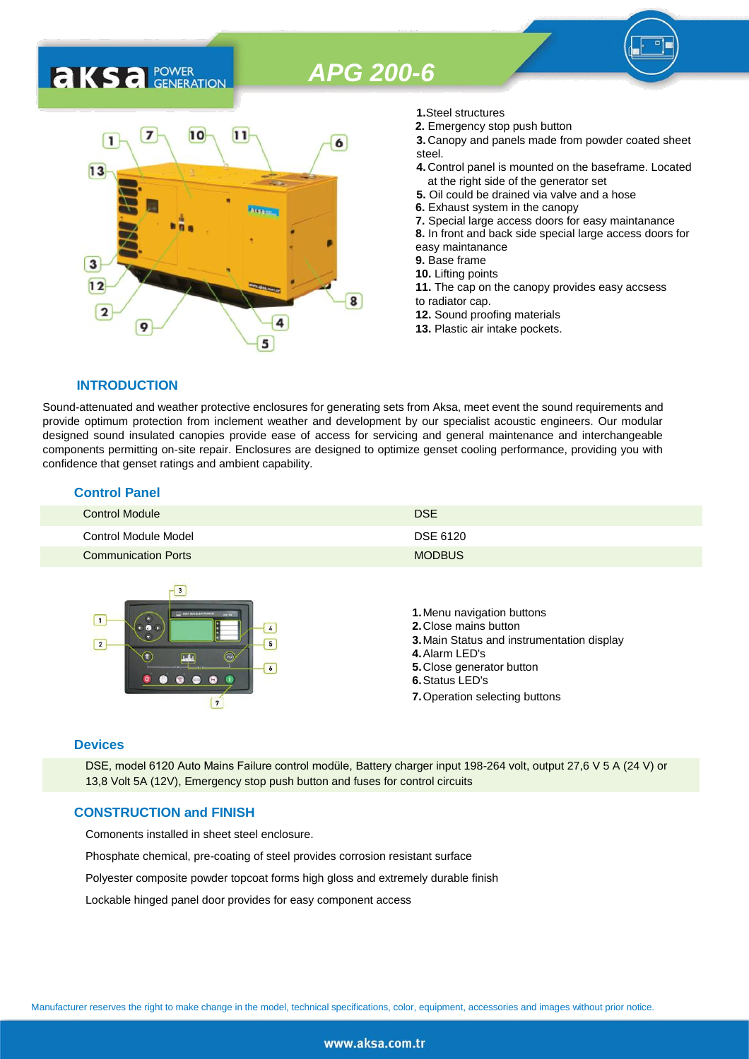## *APG 200-6*

### 7  $10$  $11$ 1 6  $13$ 3  $12$ 8  $\overline{2}$ 9 5

- **1.**Steel structures
- **2.** Emergency stop push button
- **3.** Canopy and panels made from powder coated sheet steel.
- **4.** Control panel is mounted on the baseframe. Located at the right side of the generator set
- **5.** Oil could be drained via valve and a hose
- **6.** Exhaust system in the canopy
- **7.** Special large access doors for easy maintanance
- **8.** In front and back side special large access doors for
- easy maintanance
- **9.** Base frame
- **10.** Lifting points
- **11.** The cap on the canopy provides easy accsess to radiator cap.
- **12.** Sound proofing materials
- **13.** Plastic air intake pockets.

#### **INTRODUCTION**

**AKS** *C C <b>C GENERATION* 

Sound-attenuated and weather protective enclosures for generating sets from Aksa, meet event the sound requirements and provide optimum protection from inclement weather and development by our specialist acoustic engineers. Our modular designed sound insulated canopies provide ease of access for servicing and general maintenance and interchangeable components permitting on-site repair. Enclosures are designed to optimize genset cooling performance, providing you with confidence that genset ratings and ambient capability.

#### **Control Panel**

| <b>Control Module</b>      | <b>DSE</b>    |
|----------------------------|---------------|
| Control Module Model       | DSE 6120      |
| <b>Communication Ports</b> | <b>MODBUS</b> |



#### **Devices**

DSE, model 6120 Auto Mains Failure control modüle, Battery charger input 198-264 volt, output 27,6 V 5 A (24 V) or 13,8 Volt 5A (12V), Emergency stop push button and fuses for control circuits

#### **CONSTRUCTION and FINISH**

Comonents installed in sheet steel enclosure.

Phosphate chemical, pre-coating of steel provides corrosion resistant surface

Polyester composite powder topcoat forms high gloss and extremely durable finish

Lockable hinged panel door provides for easy component access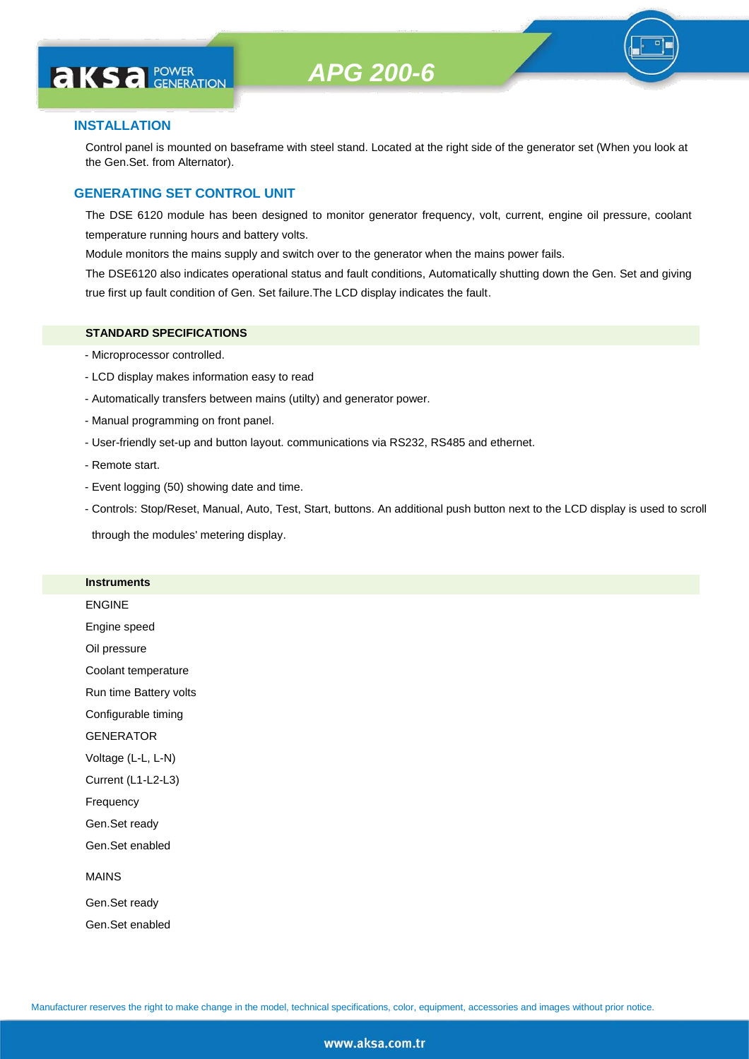# **AKS** *C C <b>C GENERATION*

#### **INSTALLATION**

Control panel is mounted on baseframe with steel stand. Located at the right side of the generator set (When you look at the Gen.Set. from Alternator).

#### **GENERATING SET CONTROL UNIT**

The DSE 6120 module has been designed to monitor generator frequency, volt, current, engine oil pressure, coolant temperature running hours and battery volts.

Module monitors the mains supply and switch over to the generator when the mains power fails.

The DSE6120 also indicates operational status and fault conditions, Automatically shutting down the Gen. Set and giving true first up fault condition of Gen. Set failure.The LCD display indicates the fault.

#### **STANDARD SPECIFICATIONS**

- Microprocessor controlled.
- LCD display makes information easy to read
- Automatically transfers between mains (utilty) and generator power.
- Manual programming on front panel.
- User-friendly set-up and button layout. communications via RS232, RS485 and ethernet.
- Remote start.
- Event logging (50) showing date and time.
- Controls: Stop/Reset, Manual, Auto, Test, Start, buttons. An additional push button next to the LCD display is used to scroll

through the modules' metering display.

#### **Instruments**

ENGINE Engine speed Oil pressure Coolant temperature Run time Battery volts Configurable timing **GENERATOR** Voltage (L-L, L-N) Current (L1-L2-L3) Frequency Gen.Set ready Gen.Set enabled MAINS Gen.Set ready

Gen.Set enabled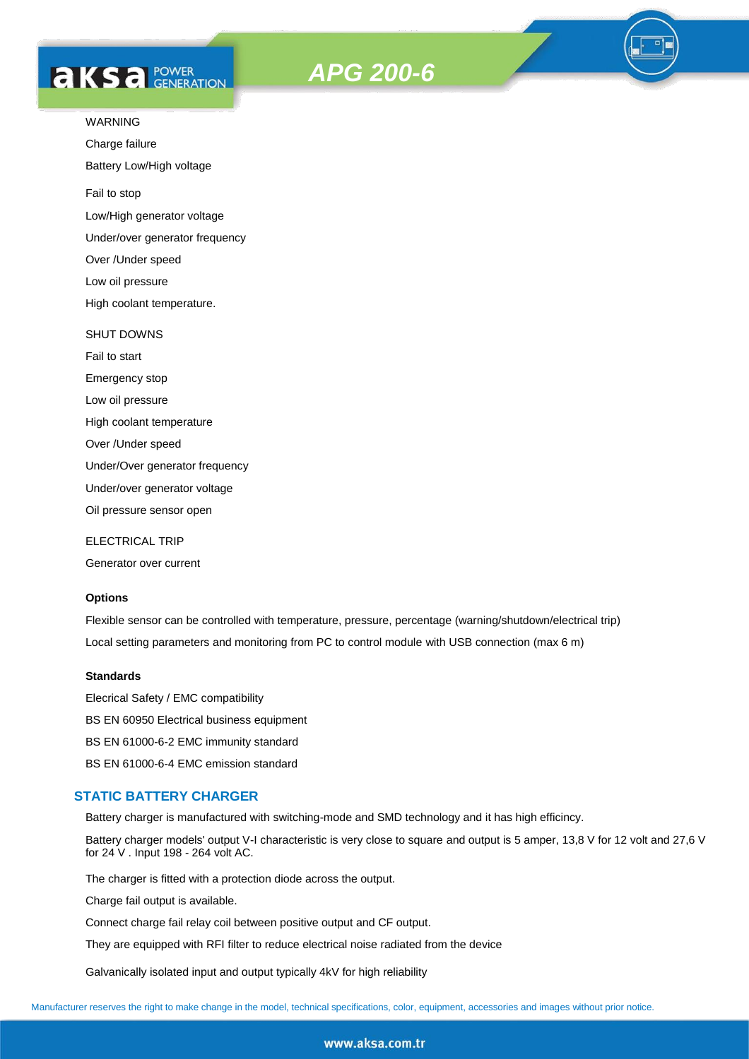# **AKS** *C C <b>C GENERATION*





Charge failure

Battery Low/High voltage

Fail to stop

Low/High generator voltage

Under/over generator frequency

Over /Under speed

Low oil pressure

High coolant temperature.

#### SHUT DOWNS

Fail to start Emergency stop Low oil pressure High coolant temperature Over /Under speed Under/Over generator frequency Under/over generator voltage

Oil pressure sensor open

ELECTRICAL TRIP

Generator over current

#### **Options**

Flexible sensor can be controlled with temperature, pressure, percentage (warning/shutdown/electrical trip) Local setting parameters and monitoring from PC to control module with USB connection (max 6 m)

#### **Standards**

Elecrical Safety / EMC compatibility BS EN 60950 Electrical business equipment BS EN 61000-6-2 EMC immunity standard BS EN 61000-6-4 EMC emission standard

#### **STATIC BATTERY CHARGER**

Battery charger is manufactured with switching-mode and SMD technology and it has high efficincy.

Battery charger models' output V-I characteristic is very close to square and output is 5 amper, 13,8 V for 12 volt and 27,6 V for 24 V . Input 198 - 264 volt AC.

The charger is fitted with a protection diode across the output.

Charge fail output is available.

Connect charge fail relay coil between positive output and CF output.

They are equipped with RFI filter to reduce electrical noise radiated from the device

Galvanically isolated input and output typically 4kV for high reliability